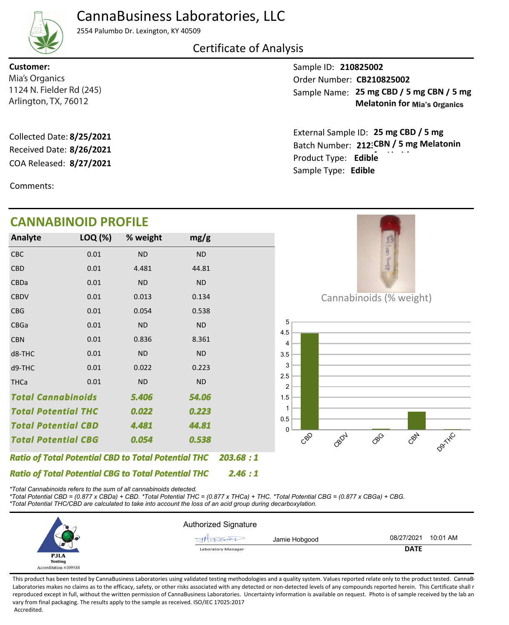# CannaBusiness Laboratories, LLC



#### 2554 Palumbo Dr. Lexington, KY 40509

## Certificate of Analysis

1124 N. Fielder Rd (245) **Customer:** Mia's Organics

COA Released: Collected Date: **8/25/2021** Received Date: **8/26/2021**

Comments:

## **CANNABINOID PROFILE**

Sample ID: **210825002** Sample Name: 25 mg CBD / 5 mg CBN / 5 mg Arlington, TX, 76012 **Melatonin for Mia's Organics** Mia's Organics **CB210825002 CREADING CORPORATION** CONSIDERING CONTROLLER CREADING CONTROLLER CONTROLLER CONTROLLER CONTROLLER CONTROLLER CONTROLLER CONTROLLER CONTROLLER CONTROLLER CONTROLLER CONTROLLER CONTROLLER CONTRO

> Product Type: **for Limitles Edible 8/27/2021** Batch Number: 212: CBN / 5 mg Melatonin External Sample ID: 25 mg CBD / 5 mg Sample Type: **Edible**



*\*Total Cannabinoids refers to the sum of all cannabinoids detected.*

*\*Total Potential CBD = (0.877 x CBDa) + CBD. \*Total Potential THC = (0.877 x THCa) + THC. \*Total Potential CBG = (0.877 x CBGa) + CBG. \*Total Potential THC/CBD are calculated to take into account the loss of an acid group during decarboxylation.*

|                       | <b>Authorized Signature</b> |                        |  |  |
|-----------------------|-----------------------------|------------------------|--|--|
|                       | Jamie Hobgood<br>XGCCX      | 10:01 AM<br>08/27/2021 |  |  |
| س                     | <b>Laboratory Manager</b>   | <b>DATE</b>            |  |  |
| <b>PJLA</b>           |                             |                        |  |  |
| <b>Testing</b>        |                             |                        |  |  |
| Accreditation #109588 |                             |                        |  |  |

This product has been tested by CannaBusiness Laboratories using validated testing methodologies and a quality system. Values reported relate only to the product tested. CannaBusiness Laboratories makes no claims as to the efficacy, safety, or other risks associated with any detected or non-detected levels of any compounds reported herein. This Certificate shall r reproduced except in full, without the written permission of CannaBusiness Laboratories. Uncertainty information is available on request. Photo is of sample received by the lab an vary from final packaging. The results apply to the sample as received. ISO/IEC 17025:2017 Accredited.